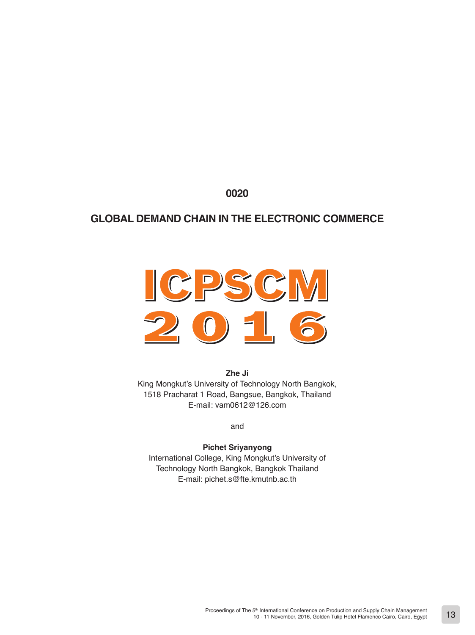**0020**

# **GLOBAL DEMAND CHAIN IN THE ELECTRONIC COMMERCE**



**Zhe Ji** King Mongkut's University of Technology North Bangkok, 1518 Pracharat 1 Road, Bangsue, Bangkok, Thailand E-mail: vam0612@126.com

and

# **Pichet Sriyanyong**

International College, King Mongkut's University of Technology North Bangkok, Bangkok Thailand E-mail: pichet.s@fte.kmutnb.ac.th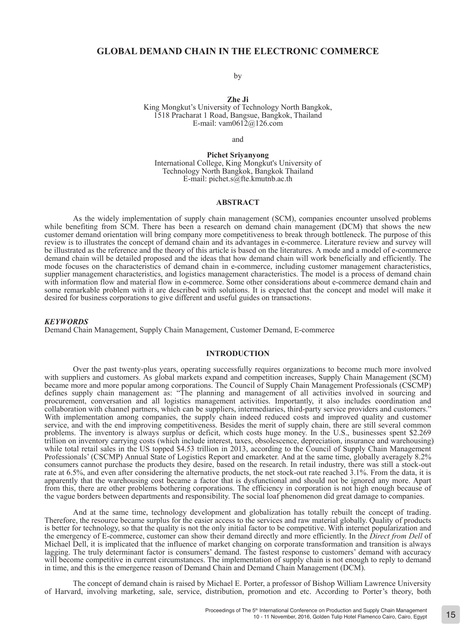# **GLOBAL DEMAND CHAIN IN THE ELECTRONIC COMMERCE**

by

**Zhe Ji**  King Mongkut's University of Technology North Bangkok, 1518 Pracharat 1 Road, Bangsue, Bangkok, Thailand E-mail: vam0612@126.com

and

**Pichet Sriyanyong**  International College, King Mongkut's University of Technology North Bangkok, Bangkok Thailand E-mail: pichet.s@fte.kmutnb.ac.th

## **ABSTRACT**

As the widely implementation of supply chain management (SCM), companies encounter unsolved problems while benefiting from SCM. There has been a research on demand chain management (DCM) that shows the new customer demand orientation will bring company more competitiveness to break through bottleneck. The purpose of this review is to illustrates the concept of demand chain and its advantages in e-commerce. Literature review and survey will be illustrated as the reference and the theory of this article is based on the literatures. A mode and a model of e-commerce demand chain will be detailed proposed and the ideas that how demand chain will work beneficially and efficiently. The mode focuses on the characteristics of demand chain in e-commerce, including customer management characteristics, supplier management characteristics, and logistics management characteristics. The model is a process of demand chain with information flow and material flow in e-commerce. Some other considerations about e-commerce demand chain and some remarkable problem with it are described with solutions. It is expected that the concept and model will make it desired for business corporations to give different and useful guides on transactions.

#### *KEYWORDS*

Demand Chain Management, Supply Chain Management, Customer Demand, E-commerce

## **INTRODUCTION**

Over the past twenty-plus years, operating successfully requires organizations to become much more involved with suppliers and customers. As global markets expand and competition increases, Supply Chain Management (SCM) became more and more popular among corporations. The Council of Supply Chain Management Professionals (CSCMP) defines supply chain management as: "The planning and management of all activities involved in sourcing and procurement, conversation and all logistics management activities. Importantly, it also includes coordination and collaboration with channel partners, which can be suppliers, intermediaries, third-party service providers and customers." With implementation among companies, the supply chain indeed reduced costs and improved quality and customer service, and with the end improving competitiveness. Besides the merit of supply chain, there are still several common problems. The inventory is always surplus or deficit, which costs huge money. In the U.S., businesses spent \$2.269 trillion on inventory carrying costs (which include interest, taxes, obsolescence, depreciation, insurance and warehousing) while total retail sales in the US topped \$4.53 trillion in 2013, according to the Council of Supply Chain Management Professionals' (CSCMP) Annual State of Logistics Report and emarketer. And at the same time, globally averagely 8.2% consumers cannot purchase the products they desire, based on the research. In retail industry, there was still a stock-out rate at 6.5%, and even after considering the alternative products, the net stock-out rate reached 3.1%. From the data, it is apparently that the warehousing cost became a factor that is dysfunctional and should not be ignored any more. Apart from this, there are other problems bothering corporations. The efficiency in corporation is not high enough because of the vague borders between departments and responsibility. The social loaf phenomenon did great damage to companies.

And at the same time, technology development and globalization has totally rebuilt the concept of trading. Therefore, the resource became surplus for the easier access to the services and raw material globally. Quality of products is better for technology, so that the quality is not the only initial factor to be competitive. With internet popularization and the emergency of E-commerce, customer can show their demand directly and more efficiently. In the *Direct from Dell* of Michael Dell, it is implicated that the influence of market changing on corporate transformation and transition is always lagging. The truly determinant factor is consumers' demand. The fastest response to customers' demand with accuracy will become competitive in current circumstances. The implementation of supply chain is not enough to reply to demand in time, and this is the emergence reason of Demand Chain and Demand Chain Management (DCM).

The concept of demand chain is raised by Michael E. Porter, a professor of Bishop William Lawrence University of Harvard, involving marketing, sale, service, distribution, promotion and etc. According to Porter's theory, both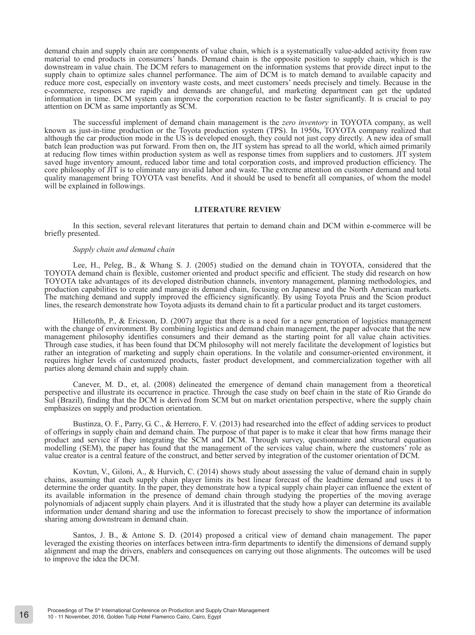demand chain and supply chain are components of value chain, which is a systematically value-added activity from raw material to end products in consumers' hands. Demand chain is the opposite position to supply chain, which is the downstream in value chain. The DCM refers to management on the information systems that provide direct input to the supply chain to optimize sales channel performance. The aim of DCM is to match demand to available capacity and reduce more cost, especially on inventory waste costs, and meet customers' needs precisely and timely. Because in the e-commerce, responses are rapidly and demands are changeful, and marketing department can get the updated information in time. DCM system can improve the corporation reaction to be faster significantly. It is crucial to pay attention on DCM as same importantly as SCM.

The successful implement of demand chain management is the *zero inventory* in TOYOTA company, as well known as just-in-time production or the Toyota production system (TPS). In 1950s, TOYOTA company realized that although the car production mode in the US is developed enough, they could not just copy directly. A new idea of small batch lean production was put forward. From then on, the JIT system has spread to all the world, which aimed primarily at reducing flow times within production system as well as response times from suppliers and to customers. JIT system saved huge inventory amount, reduced labor time and total corporation costs, and improved production efficiency. The core philosophy of JIT is to eliminate any invalid labor and waste. The extreme attention on customer demand and total quality management bring TOYOTA vast benefits. And it should be used to benefit all companies, of whom the model will be explained in followings.

#### **LITERATURE REVIEW**

In this section, several relevant literatures that pertain to demand chain and DCM within e-commerce will be briefly presented.

#### *Supply chain and demand chain*

Lee, H., Peleg, B., & Whang S. J. (2005) studied on the demand chain in TOYOTA, considered that the TOYOTA demand chain is flexible, customer oriented and product specific and efficient. The study did research on how TOYOTA take advantages of its developed distribution channels, inventory management, planning methodologies, and production capabilities to create and manage its demand chain, focusing on Japanese and the North American markets. The matching demand and supply improved the efficiency significantly. By using Toyota Pruis and the Scion product lines, the research demonstrate how Toyota adjusts its demand chain to fit a particular product and its target customers.

Hilletofth, P., & Ericsson, D. (2007) argue that there is a need for a new generation of logistics management with the change of environment. By combining logistics and demand chain management, the paper advocate that the new management philosophy identifies consumers and their demand as the starting point for all value chain activities. Through case studies, it has been found that DCM philosophy will not merely facilitate the development of logistics but rather an integration of marketing and supply chain operations. In the volatile and consumer-oriented environment, it requires higher levels of customized products, faster product development, and commercialization together with all parties along demand chain and supply chain.

Canever, M. D., et, al. (2008) delineated the emergence of demand chain management from a theoretical perspective and illustrate its occurrence in practice. Through the case study on beef chain in the state of Rio Grande do Sul (Brazil), finding that the DCM is derived from SCM but on market orientation perspective, where the supply chain emphasizes on supply and production orientation.

Bustinza, O. F., Parry, G. C., & Herrero, F. V. (2013) had researched into the effect of adding services to product of offerings in supply chain and demand chain. The purpose of that paper is to make it clear that how firms manage their product and service if they integrating the SCM and DCM. Through survey, questionnaire and structural equation modelling (SEM), the paper has found that the management of the services value chain, where the customers' role as value creator is a central feature of the construct, and better served by integration of the customer orientation of DCM.

Kovtun, V., Giloni, A., & Hurvich, C. (2014) shows study about assessing the value of demand chain in supply chains, assuming that each supply chain player limits its best linear forecast of the leadtime demand and uses it to determine the order quantity. In the paper, they demonstrate how a typical supply chain player can influence the extent of its available information in the presence of demand chain through studying the properties of the moving average polynomials of adjacent supply chain players. And it is illustrated that the study how a player can determine its available information under demand sharing and use the information to forecast precisely to show the importance of information sharing among downstream in demand chain.

Santos, J. B., & Antone S. D. (2014) proposed a critical view of demand chain management. The paper leveraged the existing theories on interfaces between intra-firm departments to identify the dimensions of demand supply alignment and map the drivers, enablers and consequences on carrying out those alignments. The outcomes will be used to improve the idea the DCM.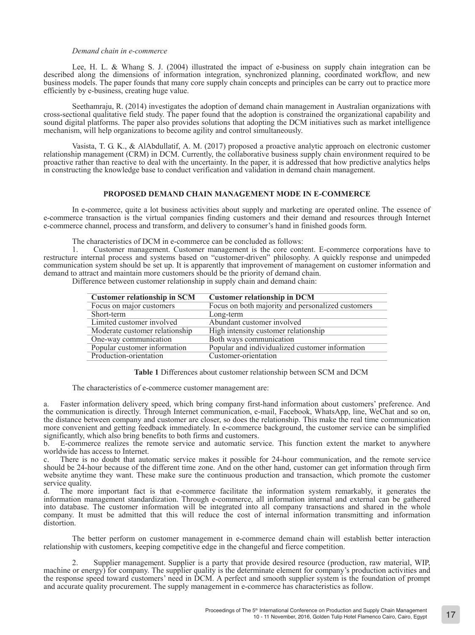#### *Demand chain in e-commerce*

Lee, H. L. & Whang S. J. (2004) illustrated the impact of e-business on supply chain integration can be described along the dimensions of information integration, synchronized planning, coordinated workflow, and new business models. The paper founds that many core supply chain concepts and principles can be carry out to practice more efficiently by e-business, creating huge value.

Seethamraju, R. (2014) investigates the adoption of demand chain management in Australian organizations with cross-sectional qualitative field study. The paper found that the adoption is constrained the organizational capability and sound digital platforms. The paper also provides solutions that adopting the DCM initiatives such as market intelligence mechanism, will help organizations to become agility and control simultaneously.

Vasista, T. G. K., & AlAbdullatif, A. M. (2017) proposed a proactive analytic approach on electronic customer relationship management (CRM) in DCM. Currently, the collaborative business supply chain environment required to be proactive rather than reactive to deal with the uncertainty. In the paper, it is addressed that how predictive analytics helps in constructing the knowledge base to conduct verification and validation in demand chain management.

### **PROPOSED DEMAND CHAIN MANAGEMENT MODE IN E-COMMERCE**

In e-commerce, quite a lot business activities about supply and marketing are operated online. The essence of e-commerce transaction is the virtual companies finding customers and their demand and resources through Internet e-commerce channel, process and transform, and delivery to consumer's hand in finished goods form.

The characteristics of DCM in e-commerce can be concluded as follows:

1. Customer management. Customer management is the core content. E-commerce corporations have to restructure internal process and systems based on "customer-driven" philosophy. A quickly response and unimpeded communication system should be set up. It is apparently that improvement of management on customer information and demand to attract and maintain more customers should be the priority of demand chain.

Difference between customer relationship in supply chain and demand chain:

| <b>Customer relationship in SCM</b> | <b>Customer relationship in DCM</b>               |
|-------------------------------------|---------------------------------------------------|
| Focus on major customers            | Focus on both majority and personalized customers |
| Short-term                          | Long-term                                         |
| Limited customer involved           | Abundant customer involved                        |
| Moderate customer relationship      | High intensity customer relationship              |
| One-way communication               | Both ways communication                           |
| Popular customer information        | Popular and individualized customer information   |
| Production-orientation              | Customer-orientation                              |

**Table 1** Differences about customer relationship between SCM and DCM

The characteristics of e-commerce customer management are:

Faster information delivery speed, which bring company first-hand information about customers' preference. And the communication is directly. Through Internet communication, e-mail, Facebook, WhatsApp, line, WeChat and so on, the distance between company and customer are closer, so does the relationship. This make the real time communication more convenient and getting feedback immediately. In e-commerce background, the customer service can be simplified significantly, which also bring benefits to both firms and customers.<br>b F-commerce realizes the remote service and automatic ser-

b. E-commerce realizes the remote service and automatic service. This function extent the market to anywhere worldwide has access to Internet.

c. There is no doubt that automatic service makes it possible for 24-hour communication, and the remote service should be 24-hour because of the different time zone. And on the other hand, customer can get information through firm website anytime they want. These make sure the continuous production and transaction, which promote the customer service quality.

d. The more important fact is that e-commerce facilitate the information system remarkably, it generates the information management standardization. Through e-commerce, all information internal and external can be gathered into database. The customer information will be integrated into all company transactions and shared in the whole company. It must be admitted that this will reduce the cost of internal information transmitting and information distortion.

The better perform on customer management in e-commerce demand chain will establish better interaction relationship with customers, keeping competitive edge in the changeful and fierce competition.

2. Supplier management. Supplier is a party that provide desired resource (production, raw material, WIP, machine or energy) for company. The supplier quality is the determinate element for company's production activities and the response speed toward customers' need in DCM. A perfect and smooth supplier system is the foundation of prompt and accurate quality procurement. The supply management in e-commerce has characteristics as follow.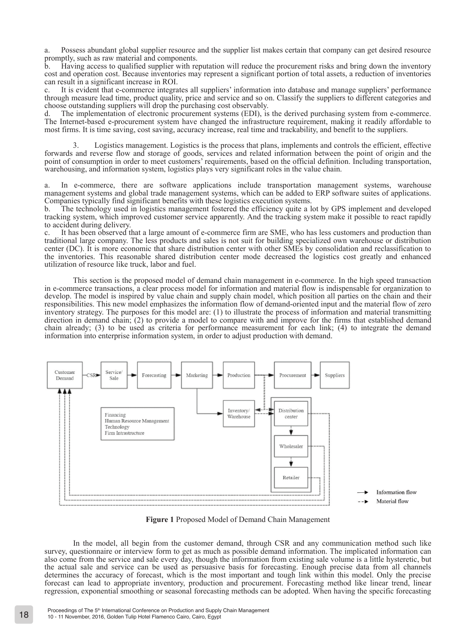a. Possess abundant global supplier resource and the supplier list makes certain that company can get desired resource promptly, such as raw material and components.

b. Having access to qualified supplier with reputation will reduce the procurement risks and bring down the inventory cost and operation cost. Because inventories may represent a significant portion of total assets, a reduction of inventories can result in a significant increase in ROI.

c. It is evident that e-commerce integrates all suppliers' information into database and manage suppliers' performance through measure lead time, product quality, price and service and so on. Classify the suppliers to different categories and choose outstanding suppliers will drop the purchasing cost observably.

d. The implementation of electronic procurement systems (EDI), is the derived purchasing system from e-commerce. The Internet-based e-procurement system have changed the infrastructure requirement, making it readily affordable to most firms. It is time saving, cost saving, accuracy increase, real time and trackability, and benefit to the suppliers.

3. Logistics management. Logistics is the process that plans, implements and controls the efficient, effective forwards and reverse flow and storage of goods, services and related information between the point of origin and the point of consumption in order to meet customers' requirements, based on the official definition. Including transportation, warehousing, and information system, logistics plays very significant roles in the value chain.

a. In e-commerce, there are software applications include transportation management systems, warehouse management systems and global trade management systems, which can be added to ERP software suites of applications. Companies typically find significant benefits with these logistics execution systems.

b. The technology used in logistics management fostered the efficiency quite a lot by GPS implement and developed tracking system, which improved customer service apparently. And the tracking system make it possible to react rapidly to accident during delivery.

c. It has been observed that a large amount of e-commerce firm are SME, who has less customers and production than traditional large company. The less products and sales is not suit for building specialized own warehouse or distribution center (DC). It is more economic that share distribution center with other SMEs by consolidation and reclassification to the inventories. This reasonable shared distribution center mode decreased the logistics cost greatly and enhanced utilization of resource like truck, labor and fuel.

This section is the proposed model of demand chain management in e-commerce. In the high speed transaction in e-commerce transactions, a clear process model for information and material flow is indispensable for organization to develop. The model is inspired by value chain and supply chain model, which position all parties on the chain and their responsibilities. This new model emphasizes the information flow of demand-oriented input and the material flow of zero inventory strategy. The purposes for this model are: (1) to illustrate the process of information and material transmitting direction in demand chain; (2) to provide a model to compare with and improve for the firms that established demand chain already; (3) to be used as criteria for performance measurement for each link; (4) to integrate the demand information into enterprise information system, in order to adjust production with demand.



**Figure 1** Proposed Model of Demand Chain Management

In the model, all begin from the customer demand, through CSR and any communication method such like survey, questionnaire or interview form to get as much as possible demand information. The implicated information can also come from the service and sale every day, though the information from existing sale volume is a little hysteretic, but the actual sale and service can be used as persuasive basis for forecasting. Enough precise data from all channels determines the accuracy of forecast, which is the most important and tough link within this model. Only the precise forecast can lead to appropriate inventory, production and procurement. Forecasting method like linear trend, linear regression, exponential smoothing or seasonal forecasting methods can be adopted. When having the specific forecasting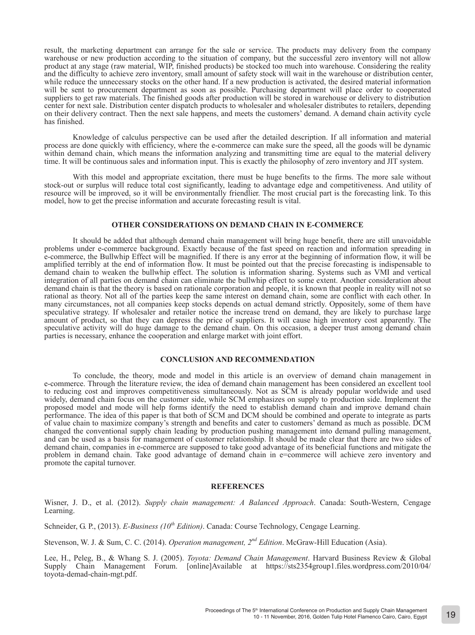result, the marketing department can arrange for the sale or service. The products may delivery from the company warehouse or new production according to the situation of company, but the successful zero inventory will not allow product at any stage (raw material, WIP, finished products) be stocked too much into warehouse. Considering the reality and the difficulty to achieve zero inventory, small amount of safety stock will wait in the warehouse or distribution center, while reduce the unnecessary stocks on the other hand. If a new production is activated, the desired material information will be sent to procurement department as soon as possible. Purchasing department will place order to cooperated suppliers to get raw materials. The finished goods after production will be stored in warehouse or delivery to distribution center for next sale. Distribution center dispatch products to wholesaler and wholesaler distributes to retailers, depending on their delivery contract. Then the next sale happens, and meets the customers' demand. A demand chain activity cycle has finished.

Knowledge of calculus perspective can be used after the detailed description. If all information and material process are done quickly with efficiency, where the e-commerce can make sure the speed, all the goods will be dynamic within demand chain, which means the information analyzing and transmitting time are equal to the material delivery time. It will be continuous sales and information input. This is exactly the philosophy of zero inventory and JIT system.

With this model and appropriate excitation, there must be huge benefits to the firms. The more sale without stock-out or surplus will reduce total cost significantly, leading to advantage edge and competitiveness. And utility of resource will be improved, so it will be environmentally friendlier. The most crucial part is the forecasting link. To this model, how to get the precise information and accurate forecasting result is vital.

# **OTHER CONSIDERATIONS ON DEMAND CHAIN IN E-COMMERCE**

It should be added that although demand chain management will bring huge benefit, there are still unavoidable problems under e-commerce background. Exactly because of the fast speed on reaction and information spreading in e-commerce, the Bullwhip Effect will be magnified. If there is any error at the beginning of information flow, it will be amplified terribly at the end of information flow. It must be pointed out that the precise forecasting is indispensable to demand chain to weaken the bullwhip effect. The solution is information sharing. Systems such as VMI and vertical integration of all parties on demand chain can eliminate the bullwhip effect to some extent. Another consideration about demand chain is that the theory is based on rationale corporation and people, it is known that people in reality will not so rational as theory. Not all of the parties keep the same interest on demand chain, some are conflict with each other. In many circumstances, not all companies keep stocks depends on actual demand strictly. Oppositely, some of them have speculative strategy. If wholesaler and retailer notice the increase trend on demand, they are likely to purchase large amount of product, so that they can depress the price of suppliers. It will cause high inventory cost apparently. The speculative activity will do huge damage to the demand chain. On this occasion, a deeper trust among demand chain parties is necessary, enhance the cooperation and enlarge market with joint effort.

#### **CONCLUSION AND RECOMMENDATION**

To conclude, the theory, mode and model in this article is an overview of demand chain management in e-commerce. Through the literature review, the idea of demand chain management has been considered an excellent tool to reducing cost and improves competitiveness simultaneously. Not as SCM is already popular worldwide and used widely, demand chain focus on the customer side, while SCM emphasizes on supply to production side. Implement the proposed model and mode will help forms identify the need to establish demand chain and improve demand chain performance. The idea of this paper is that both of SCM and DCM should be combined and operate to integrate as parts of value chain to maximize company's strength and benefits and cater to customers' demand as much as possible. DCM changed the conventional supply chain leading by production pushing management into demand pulling management, and can be used as a basis for management of customer relationship. It should be made clear that there are two sides of demand chain, companies in e-commerce are supposed to take good advantage of its beneficial functions and mitigate the problem in demand chain. Take good advantage of demand chain in e=commerce will achieve zero inventory and promote the capital turnover.

#### **REFERENCES**

Wisner, J. D., et al. (2012). *Supply chain management: A Balanced Approach*. Canada: South-Western, Cengage Learning.

Schneider, G. P., (2013). *E-Business (10th Edition)*. Canada: Course Technology, Cengage Learning.

Stevenson, W. J. & Sum, C. C. (2014). *Operation management, 2nd Edition*. McGraw-Hill Education (Asia).

Lee, H., Peleg, B., & Whang S. J. (2005). *Toyota: Demand Chain Management*. Harvard Business Review & Global Supply Chain Management Forum. [online]Available at https://sts2354group1.files.wordpress.com/2010/04/ toyota-demad-chain-mgt.pdf.